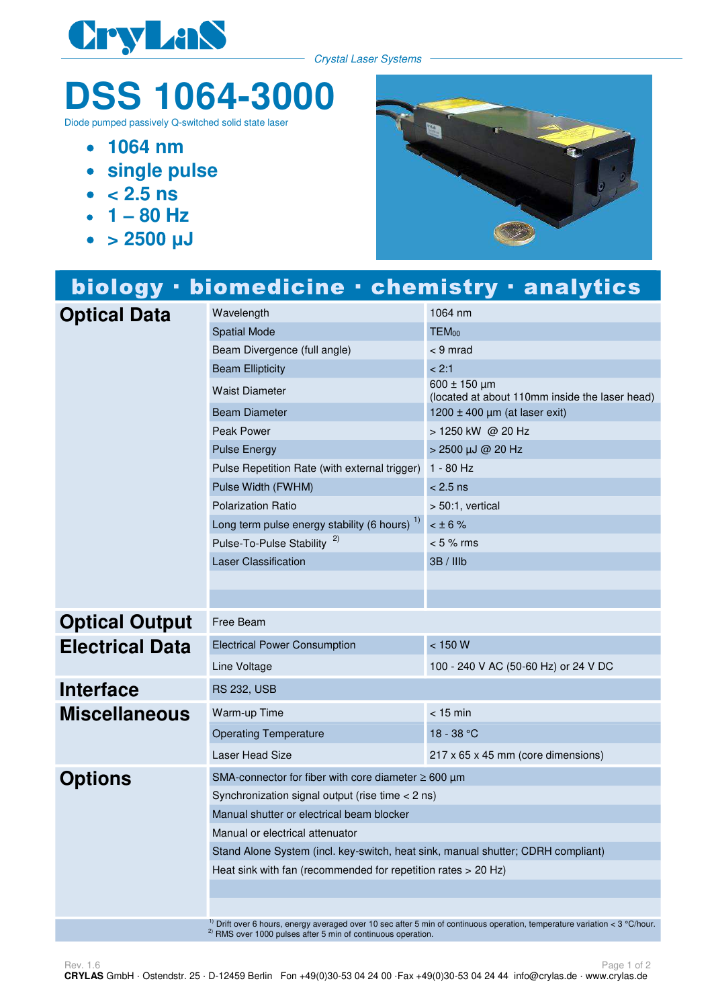

Crystal Laser Systems

## **DSS 1064-3000**

Diode pumped passively Q-switched solid state laser

- **1064 nm**
- **single pulse**
- $\bullet$  < 2.5 ns
- $\cdot$  1 80 Hz
- $\bullet$  > 2500  $\mu$ J



|                        | biology · biomedicine · chemistry · analytics                                    |                                                                                                                                              |
|------------------------|----------------------------------------------------------------------------------|----------------------------------------------------------------------------------------------------------------------------------------------|
| <b>Optical Data</b>    | Wavelength                                                                       | 1064 nm                                                                                                                                      |
|                        | <b>Spatial Mode</b>                                                              | $TEM_{00}$                                                                                                                                   |
|                        | Beam Divergence (full angle)                                                     | $<$ 9 mrad                                                                                                                                   |
|                        | <b>Beam Ellipticity</b>                                                          | < 2:1                                                                                                                                        |
|                        | <b>Waist Diameter</b>                                                            | 600 ± 150 µm<br>(located at about 110mm inside the laser head)                                                                               |
|                        | <b>Beam Diameter</b>                                                             | 1200 $\pm$ 400 µm (at laser exit)                                                                                                            |
|                        | Peak Power                                                                       | > 1250 kW @ 20 Hz                                                                                                                            |
|                        | <b>Pulse Energy</b>                                                              | > 2500 µJ @ 20 Hz                                                                                                                            |
|                        | Pulse Repetition Rate (with external trigger)                                    | $1 - 80$ Hz                                                                                                                                  |
|                        | Pulse Width (FWHM)                                                               | $< 2.5$ ns                                                                                                                                   |
|                        | <b>Polarization Ratio</b>                                                        | $> 50:1$ , vertical                                                                                                                          |
|                        | Long term pulse energy stability (6 hours) <sup>1)</sup>                         | $< \pm 6 \%$                                                                                                                                 |
|                        | Pulse-To-Pulse Stability <sup>2)</sup>                                           | $< 5 \%$ rms                                                                                                                                 |
|                        | <b>Laser Classification</b>                                                      | 3B / IIIb                                                                                                                                    |
|                        |                                                                                  |                                                                                                                                              |
|                        |                                                                                  |                                                                                                                                              |
| <b>Optical Output</b>  | Free Beam                                                                        |                                                                                                                                              |
| <b>Electrical Data</b> | <b>Electrical Power Consumption</b>                                              | < 150 W                                                                                                                                      |
|                        | Line Voltage                                                                     | 100 - 240 V AC (50-60 Hz) or 24 V DC                                                                                                         |
| <b>Interface</b>       | <b>RS 232, USB</b>                                                               |                                                                                                                                              |
| <b>Miscellaneous</b>   | Warm-up Time                                                                     | $<$ 15 min                                                                                                                                   |
|                        | <b>Operating Temperature</b>                                                     | $18 - 38 °C$                                                                                                                                 |
|                        | Laser Head Size                                                                  | 217 x 65 x 45 mm (core dimensions)                                                                                                           |
| <b>Options</b>         | SMA-connector for fiber with core diameter $\geq 600 \mu m$                      |                                                                                                                                              |
|                        | Synchronization signal output (rise time < 2 ns)                                 |                                                                                                                                              |
|                        | Manual shutter or electrical beam blocker                                        |                                                                                                                                              |
|                        | Manual or electrical attenuator                                                  |                                                                                                                                              |
|                        | Stand Alone System (incl. key-switch, heat sink, manual shutter; CDRH compliant) |                                                                                                                                              |
|                        | Heat sink with fan (recommended for repetition rates > 20 Hz)                    |                                                                                                                                              |
|                        |                                                                                  |                                                                                                                                              |
|                        |                                                                                  |                                                                                                                                              |
|                        |                                                                                  | <sup>1)</sup> Drift over 6 hours, energy averaged over 10 sec after 5 min of continuous operation, temperature variation $\approx$ 3 °C/hour |

<sup>1)</sup> Drift over 6 hours, energy averaged over 10 sec after 5 min of continuous operation, temperature variation < 3 °C/hour.  $^{2)}$  RMS over 1000 pulses after 5 min of continuous operation.